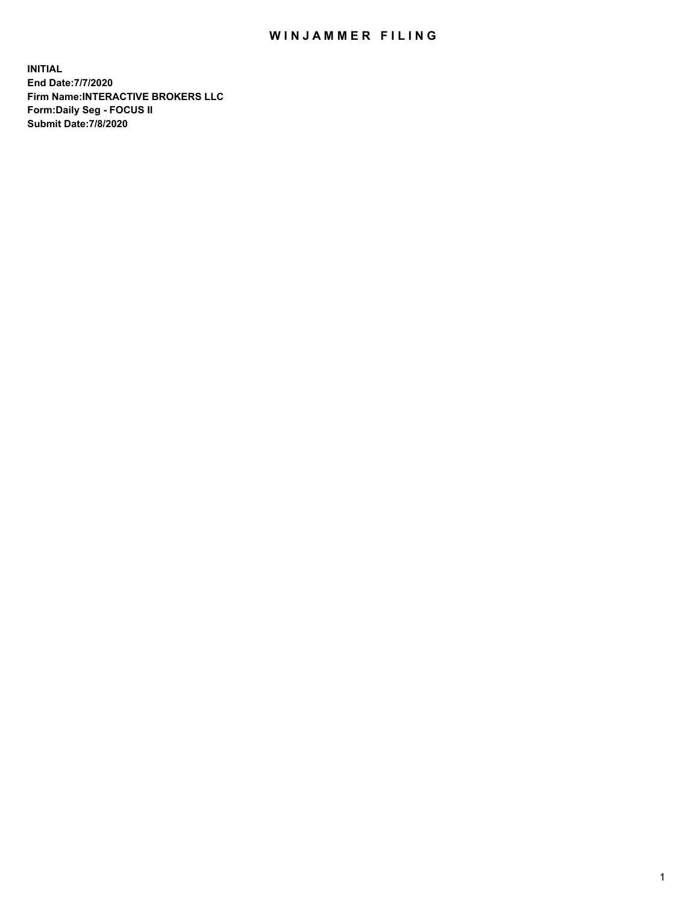## WIN JAMMER FILING

**INITIAL End Date:7/7/2020 Firm Name:INTERACTIVE BROKERS LLC Form:Daily Seg - FOCUS II Submit Date:7/8/2020**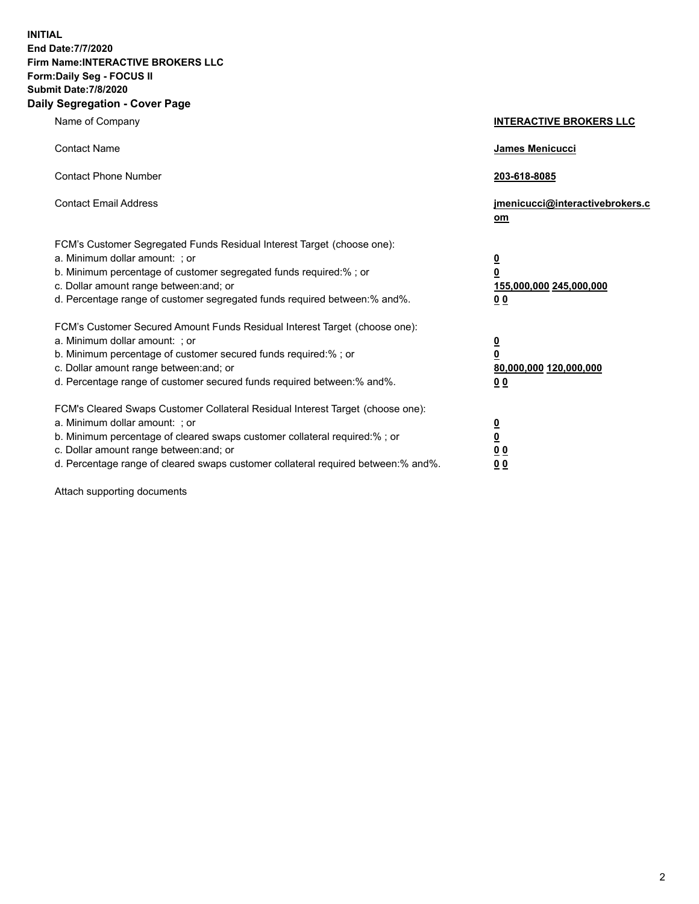**INITIAL End Date:7/7/2020 Firm Name:INTERACTIVE BROKERS LLC Form:Daily Seg - FOCUS II Submit Date:7/8/2020 Daily Segregation - Cover Page**

| Name of Company                                                                                                                                                                                                                                                                                                                | <b>INTERACTIVE BROKERS LLC</b>                                                                 |
|--------------------------------------------------------------------------------------------------------------------------------------------------------------------------------------------------------------------------------------------------------------------------------------------------------------------------------|------------------------------------------------------------------------------------------------|
| <b>Contact Name</b>                                                                                                                                                                                                                                                                                                            | James Menicucci                                                                                |
| <b>Contact Phone Number</b>                                                                                                                                                                                                                                                                                                    | 203-618-8085                                                                                   |
| <b>Contact Email Address</b>                                                                                                                                                                                                                                                                                                   | jmenicucci@interactivebrokers.c<br>om                                                          |
| FCM's Customer Segregated Funds Residual Interest Target (choose one):<br>a. Minimum dollar amount: ; or<br>b. Minimum percentage of customer segregated funds required:% ; or<br>c. Dollar amount range between: and; or<br>d. Percentage range of customer segregated funds required between:% and%.                         | $\overline{\mathbf{0}}$<br>$\overline{\mathbf{0}}$<br>155,000,000 245,000,000<br><u>00</u>     |
| FCM's Customer Secured Amount Funds Residual Interest Target (choose one):<br>a. Minimum dollar amount: ; or<br>b. Minimum percentage of customer secured funds required:%; or<br>c. Dollar amount range between: and; or<br>d. Percentage range of customer secured funds required between:% and%.                            | $\overline{\mathbf{0}}$<br>$\overline{\mathbf{0}}$<br>80,000,000 120,000,000<br>0 <sub>0</sub> |
| FCM's Cleared Swaps Customer Collateral Residual Interest Target (choose one):<br>a. Minimum dollar amount: ; or<br>b. Minimum percentage of cleared swaps customer collateral required:% ; or<br>c. Dollar amount range between: and; or<br>d. Percentage range of cleared swaps customer collateral required between:% and%. | $\frac{0}{0}$<br>$\underline{0}$ $\underline{0}$<br>00                                         |

Attach supporting documents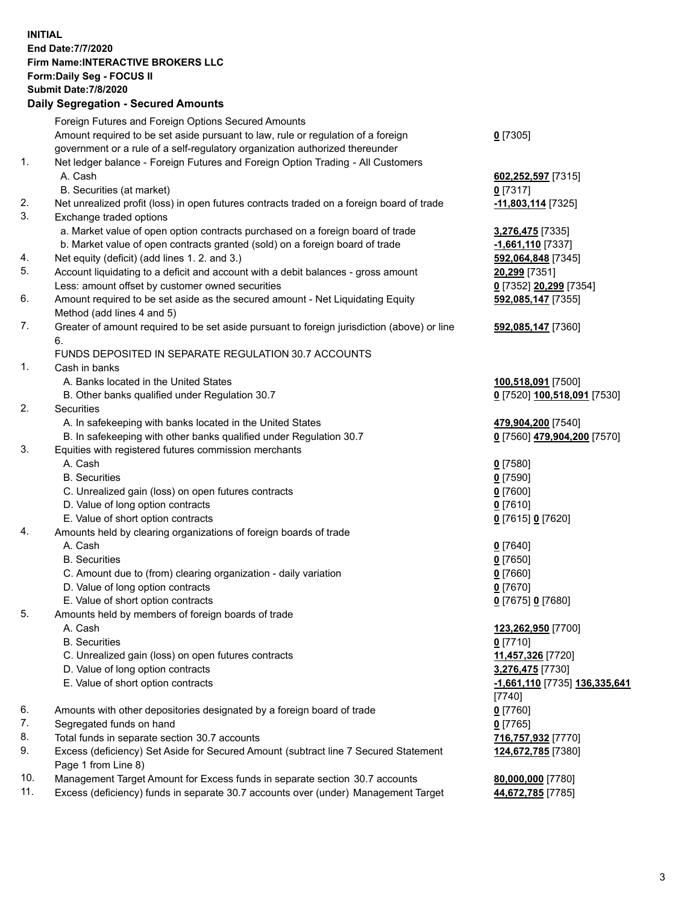**INITIAL End Date:7/7/2020 Firm Name:INTERACTIVE BROKERS LLC Form:Daily Seg - FOCUS II Submit Date:7/8/2020 Daily Segregation - Secured Amounts**

|     | Daily Segregation - Secured Amounts                                                                        |                               |
|-----|------------------------------------------------------------------------------------------------------------|-------------------------------|
|     | Foreign Futures and Foreign Options Secured Amounts                                                        |                               |
|     | Amount required to be set aside pursuant to law, rule or regulation of a foreign                           | $0$ [7305]                    |
|     | government or a rule of a self-regulatory organization authorized thereunder                               |                               |
| 1.  | Net ledger balance - Foreign Futures and Foreign Option Trading - All Customers                            |                               |
|     | A. Cash                                                                                                    | 602,252,597 [7315]            |
|     | B. Securities (at market)                                                                                  | $0$ [7317]                    |
| 2.  | Net unrealized profit (loss) in open futures contracts traded on a foreign board of trade                  | -11,803,114 [7325]            |
| 3.  | Exchange traded options                                                                                    |                               |
|     | a. Market value of open option contracts purchased on a foreign board of trade                             | 3,276,475 [7335]              |
|     | b. Market value of open contracts granted (sold) on a foreign board of trade                               | $-1,661,110$ [7337]           |
| 4.  | Net equity (deficit) (add lines 1. 2. and 3.)                                                              | 592,064,848 [7345]            |
| 5.  | Account liquidating to a deficit and account with a debit balances - gross amount                          | 20,299 [7351]                 |
|     | Less: amount offset by customer owned securities                                                           | 0 [7352] 20,299 [7354]        |
| 6.  | Amount required to be set aside as the secured amount - Net Liquidating Equity                             | 592,085,147 [7355]            |
|     | Method (add lines 4 and 5)                                                                                 |                               |
| 7.  | Greater of amount required to be set aside pursuant to foreign jurisdiction (above) or line                | 592,085,147 [7360]            |
|     | 6.                                                                                                         |                               |
|     | FUNDS DEPOSITED IN SEPARATE REGULATION 30.7 ACCOUNTS                                                       |                               |
| 1.  | Cash in banks                                                                                              |                               |
|     | A. Banks located in the United States                                                                      | 100,518,091 [7500]            |
|     | B. Other banks qualified under Regulation 30.7                                                             | 0 [7520] 100,518,091 [7530]   |
| 2.  | Securities                                                                                                 |                               |
|     | A. In safekeeping with banks located in the United States                                                  | 479,904,200 [7540]            |
|     | B. In safekeeping with other banks qualified under Regulation 30.7                                         | 0 [7560] 479,904,200 [7570]   |
| 3.  | Equities with registered futures commission merchants                                                      |                               |
|     | A. Cash                                                                                                    | $0$ [7580]                    |
|     | <b>B.</b> Securities                                                                                       | $0$ [7590]                    |
|     | C. Unrealized gain (loss) on open futures contracts                                                        | $0$ [7600]                    |
|     | D. Value of long option contracts                                                                          | $0$ [7610]                    |
|     | E. Value of short option contracts                                                                         | 0 [7615] 0 [7620]             |
| 4.  | Amounts held by clearing organizations of foreign boards of trade                                          |                               |
|     | A. Cash                                                                                                    |                               |
|     | <b>B.</b> Securities                                                                                       | $0$ [7640]                    |
|     | C. Amount due to (from) clearing organization - daily variation                                            | $0$ [7650]                    |
|     | D. Value of long option contracts                                                                          | $0$ [7660]                    |
|     |                                                                                                            | $0$ [7670]                    |
|     | E. Value of short option contracts                                                                         | 0 [7675] 0 [7680]             |
| 5.  | Amounts held by members of foreign boards of trade                                                         |                               |
|     | A. Cash                                                                                                    | 123,262,950 [7700]            |
|     | <b>B.</b> Securities                                                                                       | $0$ [7710]                    |
|     | C. Unrealized gain (loss) on open futures contracts                                                        | 11,457,326 [7720]             |
|     | D. Value of long option contracts                                                                          | 3,276,475 [7730]              |
|     | E. Value of short option contracts                                                                         | -1,661,110 [7735] 136,335,641 |
|     |                                                                                                            | [7740]                        |
| 6.  | Amounts with other depositories designated by a foreign board of trade                                     | $0$ [7760]                    |
| 7.  | Segregated funds on hand                                                                                   | $0$ [7765]                    |
| 8.  | Total funds in separate section 30.7 accounts                                                              | 716,757,932 [7770]            |
| 9.  | Excess (deficiency) Set Aside for Secured Amount (subtract line 7 Secured Statement<br>Page 1 from Line 8) | 124,672,785 [7380]            |
| 10. | Management Target Amount for Excess funds in separate section 30.7 accounts                                | 80,000,000 [7780]             |
| 11. | Excess (deficiency) funds in separate 30.7 accounts over (under) Management Target                         | 44,672,785 [7785]             |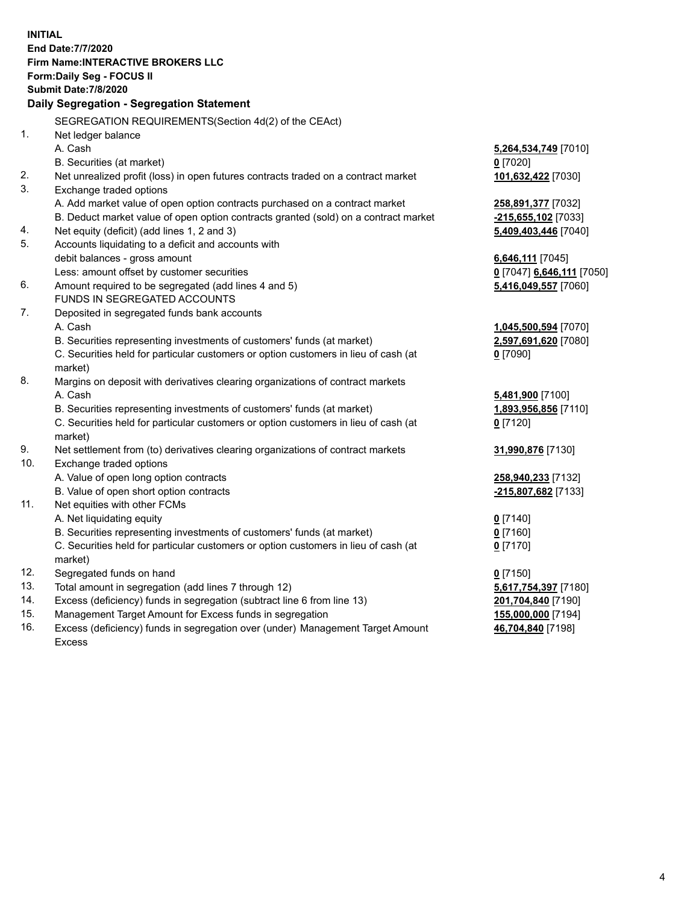**INITIAL End Date:7/7/2020 Firm Name:INTERACTIVE BROKERS LLC Form:Daily Seg - FOCUS II Submit Date:7/8/2020 Daily Segregation - Segregation Statement** SEGREGATION REQUIREMENTS(Section 4d(2) of the CEAct) 1. Net ledger balance A. Cash **5,264,534,749** [7010] B. Securities (at market) **0** [7020] 2. Net unrealized profit (loss) in open futures contracts traded on a contract market **101,632,422** [7030] 3. Exchange traded options A. Add market value of open option contracts purchased on a contract market **258,891,377** [7032] B. Deduct market value of open option contracts granted (sold) on a contract market **-215,655,102** [7033] 4. Net equity (deficit) (add lines 1, 2 and 3) **5,409,403,446** [7040] 5. Accounts liquidating to a deficit and accounts with debit balances - gross amount **6,646,111** [7045] Less: amount offset by customer securities **0** [7047] **6,646,111** [7050] 6. Amount required to be segregated (add lines 4 and 5) **5,416,049,557** [7060] FUNDS IN SEGREGATED ACCOUNTS 7. Deposited in segregated funds bank accounts A. Cash **1,045,500,594** [7070] B. Securities representing investments of customers' funds (at market) **2,597,691,620** [7080] C. Securities held for particular customers or option customers in lieu of cash (at market) **0** [7090] 8. Margins on deposit with derivatives clearing organizations of contract markets A. Cash **5,481,900** [7100] B. Securities representing investments of customers' funds (at market) **1,893,956,856** [7110] C. Securities held for particular customers or option customers in lieu of cash (at market) **0** [7120] 9. Net settlement from (to) derivatives clearing organizations of contract markets **31,990,876** [7130] 10. Exchange traded options A. Value of open long option contracts **258,940,233** [7132] B. Value of open short option contracts **-215,807,682** [7133] 11. Net equities with other FCMs A. Net liquidating equity **0** [7140] B. Securities representing investments of customers' funds (at market) **0** [7160] C. Securities held for particular customers or option customers in lieu of cash (at market) **0** [7170] 12. Segregated funds on hand **0** [7150] 13. Total amount in segregation (add lines 7 through 12) **5,617,754,397** [7180] 14. Excess (deficiency) funds in segregation (subtract line 6 from line 13) **201,704,840** [7190] 15. Management Target Amount for Excess funds in segregation **155,000,000** [7194]

16. Excess (deficiency) funds in segregation over (under) Management Target Amount Excess

**46,704,840** [7198]